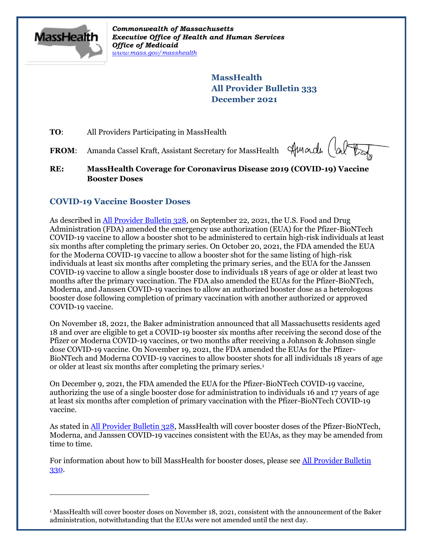

 $\overline{a}$ 

*Commonwealth of Massachusetts Executive Office of Health and Human Services Office of Medicaid [www.mass.gov/masshealth](http://www.mass.gov/masshealth)*

> **MassHealth All Provider Bulletin 333 December 2021**

**TO:** All Providers Participating in MassHealth

FROM: Amanda Cassel Kraft, Assistant Secretary for MassHealth

Amade (

**RE: MassHealth Coverage for Coronavirus Disease 2019 (COVID-19) Vaccine Booster Doses**

# **COVID-19 Vaccine Booster Doses**

As described i[n All Provider Bulletin 328,](https://www.mass.gov/doc/all-provider-bulletin-328-coverage-for-booster-doses-of-coronavirus-disease-2019-covid-19-vaccines-0/download) on September 22, 2021, the U.S. Food and Drug Administration (FDA) amended the emergency use authorization (EUA) for the Pfizer-BioNTech COVID-19 vaccine to allow a booster shot to be administered to certain high-risk individuals at least six months after completing the primary series. On October 20, 2021, the FDA amended the EUA for the Moderna COVID-19 vaccine to allow a booster shot for the same listing of high-risk individuals at least six months after completing the primary series, and the EUA for the Janssen COVID-19 vaccine to allow a single booster dose to individuals 18 years of age or older at least two months after the primary vaccination. The FDA also amended the EUAs for the Pfizer-BioNTech, Moderna, and Janssen COVID-19 vaccines to allow an authorized booster dose as a heterologous booster dose following completion of primary vaccination with another authorized or approved COVID-19 vaccine.

On November 18, 2021, the Baker administration announced that all Massachusetts residents aged 18 and over are eligible to get a COVID-19 booster six months after receiving the second dose of the Pfizer or Moderna COVID-19 vaccines, or two months after receiving a Johnson & Johnson single dose COVID-19 vaccine. On November 19, 2021, the FDA amended the EUAs for the Pfizer-BioNTech and Moderna COVID-19 vaccines to allow booster shots for all individuals 18 years of age or older at least six months after completing the primary series.<sup>1</sup>

On December 9, 2021, the FDA amended the EUA for the Pfizer-BioNTech COVID-19 vaccine, authorizing the use of a single booster dose for administration to individuals 16 and 17 years of age at least six months after completion of primary vaccination with the Pfizer-BioNTech COVID-19 vaccine.

As stated in [All Provider Bulletin 328,](https://www.mass.gov/doc/all-provider-bulletin-328-coverage-for-booster-doses-of-coronavirus-disease-2019-covid-19-vaccines-0/download) MassHealth will cover booster doses of the Pfizer-BioNTech, Moderna, and Janssen COVID-19 vaccines consistent with the EUAs, as they may be amended from time to time.

For information about how to bill MassHealth for booster doses, please see [All Provider Bulletin](https://www.mass.gov/doc/all-provider-bulletin-330-masshealth-coverage-for-coronavirus-disease-2019-covid-19-vaccines-including-pediatric-vaccines-and-monoclonal-antibodies-0/download)  [330.](https://www.mass.gov/doc/all-provider-bulletin-330-masshealth-coverage-for-coronavirus-disease-2019-covid-19-vaccines-including-pediatric-vaccines-and-monoclonal-antibodies-0/download)

<sup>1</sup> MassHealth will cover booster doses on November 18, 2021, consistent with the announcement of the Baker administration, notwithstanding that the EUAs were not amended until the next day.